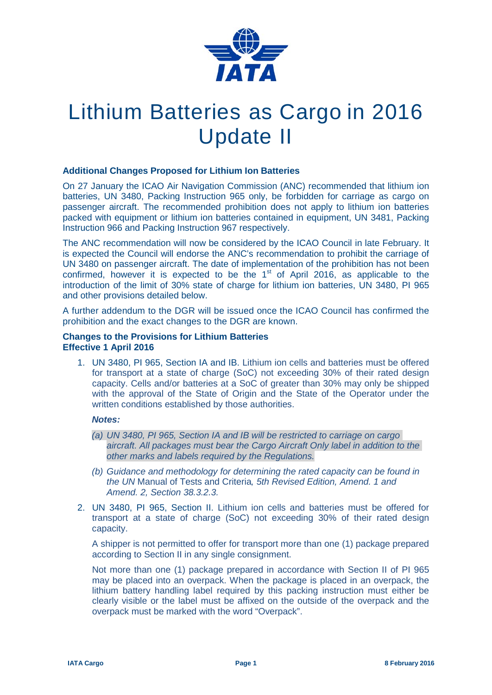

# Lithium Batteries as Cargo in 2016 Update II

### **Additional Changes Proposed for Lithium Ion Batteries**

On 27 January the ICAO Air Navigation Commission (ANC) recommended that lithium ion batteries, UN 3480, Packing Instruction 965 only, be forbidden for carriage as cargo on passenger aircraft. The recommended prohibition does not apply to lithium ion batteries packed with equipment or lithium ion batteries contained in equipment, UN 3481, Packing Instruction 966 and Packing Instruction 967 respectively.

The ANC recommendation will now be considered by the ICAO Council in late February. It is expected the Council will endorse the ANC's recommendation to prohibit the carriage of UN 3480 on passenger aircraft. The date of implementation of the prohibition has not been confirmed, however it is expected to be the  $1<sup>st</sup>$  of April 2016, as applicable to the introduction of the limit of 30% state of charge for lithium ion batteries, UN 3480, PI 965 and other provisions detailed below.

A further addendum to the DGR will be issued once the ICAO Council has confirmed the prohibition and the exact changes to the DGR are known.

#### **Changes to the Provisions for Lithium Batteries Effective 1 April 2016**

1. UN 3480, PI 965, Section IA and IB. Lithium ion cells and batteries must be offered for transport at a state of charge (SoC) not exceeding 30% of their rated design capacity. Cells and/or batteries at a SoC of greater than 30% may only be shipped with the approval of the State of Origin and the State of the Operator under the written conditions established by those authorities.

#### *Notes:*

- *(a) UN 3480, PI 965, Section IA and IB will be restricted to carriage on cargo aircraft. All packages must bear the Cargo Aircraft Only label in addition to the other marks and labels required by the Regulations.*
- *(b) Guidance and methodology for determining the rated capacity can be found in the UN* Manual of Tests and Criteria*, 5th Revised Edition, Amend. 1 and Amend. 2, Section 38.3.2.3.*
- 2. UN 3480, PI 965, Section II. Lithium ion cells and batteries must be offered for transport at a state of charge (SoC) not exceeding 30% of their rated design capacity.

A shipper is not permitted to offer for transport more than one (1) package prepared according to Section II in any single consignment.

Not more than one (1) package prepared in accordance with Section II of PI 965 may be placed into an overpack. When the package is placed in an overpack, the lithium battery handling label required by this packing instruction must either be clearly visible or the label must be affixed on the outside of the overpack and the overpack must be marked with the word "Overpack".